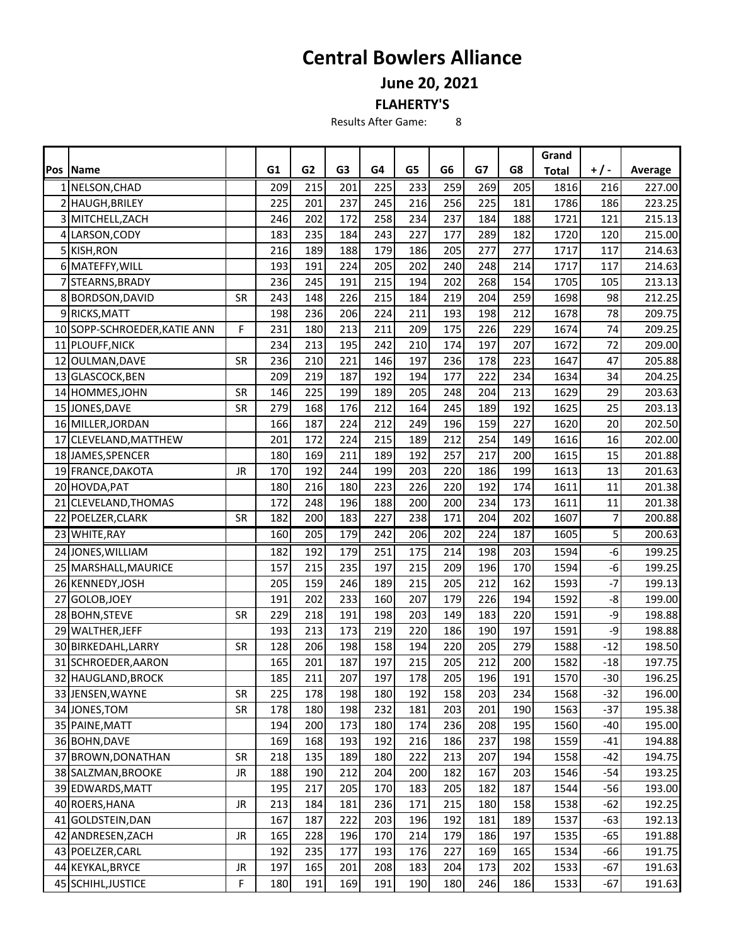## **Central Bowlers Alliance**

**June 20, 2021**

**FLAHERTY'S**

Results After Game: 8

|     |                              |           |     |                  |                |     |     |                |     |     | Grand        |       |         |
|-----|------------------------------|-----------|-----|------------------|----------------|-----|-----|----------------|-----|-----|--------------|-------|---------|
| Pos | Name                         |           | G1  | G <sub>2</sub>   | G <sub>3</sub> | G4  | G5  | G <sub>6</sub> | G7  | G8  | <b>Total</b> | $+/-$ | Average |
|     | 1 NELSON, CHAD               |           | 209 | 215              | 201            | 225 | 233 | 259            | 269 | 205 | 1816         | 216   | 227.00  |
|     | 2 HAUGH, BRILEY              |           | 225 | 201              | 237            | 245 | 216 | 256            | 225 | 181 | 1786         | 186   | 223.25  |
|     | 3 MITCHELL, ZACH             |           | 246 | 202              | 172            | 258 | 234 | 237            | 184 | 188 | 1721         | 121   | 215.13  |
|     | 4 LARSON, CODY               |           | 183 | 235              | 184            | 243 | 227 | 177            | 289 | 182 | 1720         | 120   | 215.00  |
|     | 5 KISH, RON                  |           | 216 | 189              | 188            | 179 | 186 | 205            | 277 | 277 | 1717         | 117   | 214.63  |
|     | 6 MATEFFY, WILL              |           | 193 | 191              | 224            | 205 | 202 | 240            | 248 | 214 | 1717         | 117   | 214.63  |
|     | 7 STEARNS, BRADY             |           | 236 | 245              | 191            | 215 | 194 | 202            | 268 | 154 | 1705         | 105   | 213.13  |
|     | 8 BORDSON, DAVID             | <b>SR</b> | 243 | 148              | 226            | 215 | 184 | 219            | 204 | 259 | 1698         | 98    | 212.25  |
|     | 9 RICKS, MATT                |           | 198 | 236              | 206            | 224 | 211 | 193            | 198 | 212 | 1678         | 78    | 209.75  |
|     | 10 SOPP-SCHROEDER, KATIE ANN | F         | 231 | 180              | 213            | 211 | 209 | 175            | 226 | 229 | 1674         | 74    | 209.25  |
|     | 11 PLOUFF, NICK              |           | 234 | 213              | 195            | 242 | 210 | 174            | 197 | 207 | 1672         | 72    | 209.00  |
|     | 12 OULMAN, DAVE              | <b>SR</b> | 236 | 210              | 221            | 146 | 197 | 236            | 178 | 223 | 1647         | 47    | 205.88  |
|     | 13 GLASCOCK, BEN             |           | 209 | 219              | 187            | 192 | 194 | 177            | 222 | 234 | 1634         | 34    | 204.25  |
|     | 14 HOMMES, JOHN              | <b>SR</b> | 146 | 225              | 199            | 189 | 205 | 248            | 204 | 213 | 1629         | 29    | 203.63  |
|     | 15 JONES, DAVE               | <b>SR</b> | 279 | 168              | 176            | 212 | 164 | 245            | 189 | 192 | 1625         | 25    | 203.13  |
|     | 16 MILLER, JORDAN            |           | 166 | 187              | 224            | 212 | 249 | 196            | 159 | 227 | 1620         | 20    | 202.50  |
|     | 17 CLEVELAND, MATTHEW        |           | 201 | 172              | 224            | 215 | 189 | 212            | 254 | 149 | 1616         | 16    | 202.00  |
|     | 18 JAMES, SPENCER            |           | 180 | 169              | 211            | 189 | 192 | 257            | 217 | 200 | 1615         | 15    | 201.88  |
|     | 19 FRANCE, DAKOTA            | <b>JR</b> | 170 | 192              | 244            | 199 | 203 | 220            | 186 | 199 | 1613         | 13    | 201.63  |
|     | 20 HOVDA, PAT                |           | 180 | 216              | 180            | 223 | 226 | 220            | 192 | 174 | 1611         | 11    | 201.38  |
|     | 21 CLEVELAND, THOMAS         |           | 172 | 248              | 196            | 188 | 200 | 200            | 234 | 173 | 1611         | 11    | 201.38  |
|     | 22 POELZER, CLARK            | <b>SR</b> | 182 | 200              | 183            | 227 | 238 | 171            | 204 | 202 | 1607         | 7     | 200.88  |
|     | 23 WHITE, RAY                |           | 160 | $\overline{205}$ | 179            | 242 | 206 | 202            | 224 | 187 | 1605         | 5     | 200.63  |
|     | 24 JONES, WILLIAM            |           | 182 | 192              | 179            | 251 | 175 | 214            | 198 | 203 | 1594         | $-6$  | 199.25  |
|     | 25 MARSHALL, MAURICE         |           | 157 | 215              | 235            | 197 | 215 | 209            | 196 | 170 | 1594         | $-6$  | 199.25  |
|     | 26 KENNEDY, JOSH             |           | 205 | 159              | 246            | 189 | 215 | 205            | 212 | 162 | 1593         | $-7$  | 199.13  |
|     | 27 GOLOB, JOEY               |           | 191 | 202              | 233            | 160 | 207 | 179            | 226 | 194 | 1592         | -8    | 199.00  |
|     | 28 BOHN, STEVE               | <b>SR</b> | 229 | 218              | 191            | 198 | 203 | 149            | 183 | 220 | 1591         | -9    | 198.88  |
|     | 29 WALTHER, JEFF             |           | 193 | 213              | 173            | 219 | 220 | 186            | 190 | 197 | 1591         | -9    | 198.88  |
|     | 30 BIRKEDAHL, LARRY          | <b>SR</b> | 128 | 206              | 198            | 158 | 194 | 220            | 205 | 279 | 1588         | $-12$ | 198.50  |
|     | 31 SCHROEDER, AARON          |           | 165 | 201              | 187            | 197 | 215 | 205            | 212 | 200 | 1582         | $-18$ | 197.75  |
|     | 32 HAUGLAND, BROCK           |           | 185 | 211              | 207            | 197 | 178 | 205            | 196 | 191 | 1570         | $-30$ | 196.25  |
|     | 33 JENSEN, WAYNE             | <b>SR</b> | 225 | 178              | 198            | 180 | 192 | 158            | 203 | 234 | 1568         | $-32$ | 196.00  |
|     | 34 JONES, TOM                | SR        | 178 | 180              | 198            | 232 | 181 | 203            | 201 | 190 | 1563         | $-37$ | 195.38  |
|     | 35 PAINE, MATT               |           | 194 | 200              | 173            | 180 | 174 | 236            | 208 | 195 | 1560         | $-40$ | 195.00  |
|     | 36 BOHN, DAVE                |           | 169 | 168              | 193            | 192 | 216 | 186            | 237 | 198 | 1559         | $-41$ | 194.88  |
|     | 37 BROWN, DONATHAN           | <b>SR</b> | 218 | 135              | 189            | 180 | 222 | 213            | 207 | 194 | 1558         | $-42$ | 194.75  |
|     | 38 SALZMAN, BROOKE           | JR        | 188 | 190              | 212            | 204 | 200 | 182            | 167 | 203 | 1546         | $-54$ | 193.25  |
|     | 39 EDWARDS, MATT             |           | 195 | 217              | 205            | 170 | 183 | 205            | 182 | 187 | 1544         | $-56$ | 193.00  |
|     | 40 ROERS, HANA               | JR        | 213 | 184              | 181            | 236 | 171 | 215            | 180 | 158 | 1538         | $-62$ | 192.25  |
|     | 41 GOLDSTEIN, DAN            |           | 167 | 187              | 222            | 203 | 196 | 192            | 181 | 189 | 1537         | $-63$ | 192.13  |
|     | 42 ANDRESEN, ZACH            | JR        | 165 | 228              | 196            | 170 | 214 | 179            | 186 | 197 | 1535         | $-65$ | 191.88  |
|     | 43 POELZER, CARL             |           | 192 | 235              | 177            | 193 | 176 | 227            | 169 | 165 | 1534         | $-66$ | 191.75  |
|     | 44 KEYKAL, BRYCE             | JR        | 197 | 165              | 201            | 208 | 183 | 204            | 173 | 202 | 1533         | $-67$ | 191.63  |
|     | 45 SCHIHL, JUSTICE           | F         | 180 | 191              | 169            | 191 | 190 | 180            | 246 | 186 | 1533         | $-67$ | 191.63  |